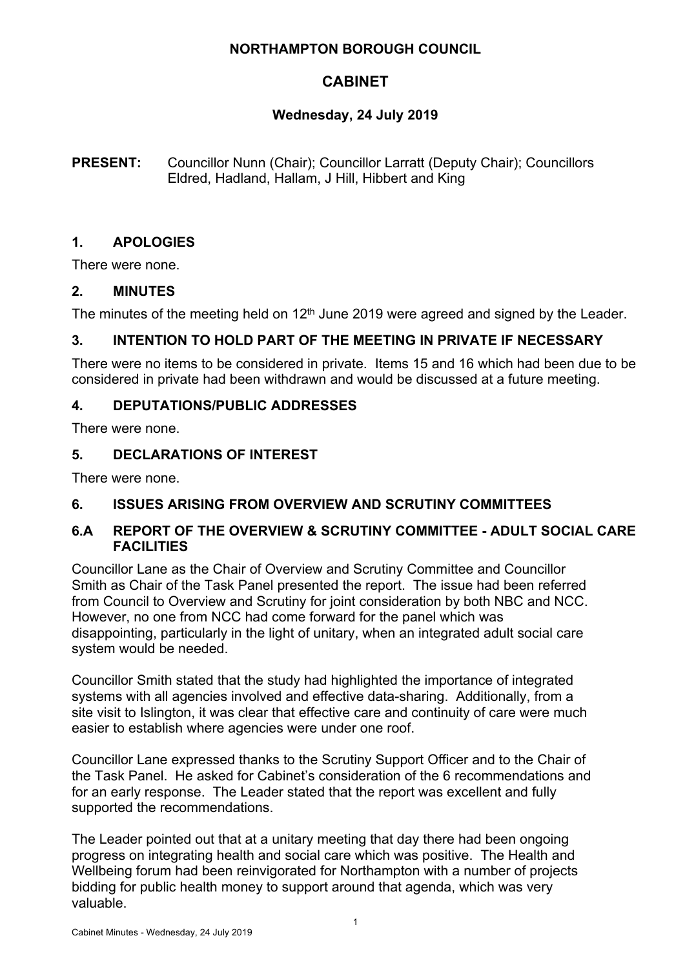## **NORTHAMPTON BOROUGH COUNCIL**

# **CABINET**

# **Wednesday, 24 July 2019**

**PRESENT:** Councillor Nunn (Chair); Councillor Larratt (Deputy Chair); Councillors Eldred, Hadland, Hallam, J Hill, Hibbert and King

# **1. APOLOGIES**

There were none.

# **2. MINUTES**

The minutes of the meeting held on 12<sup>th</sup> June 2019 were agreed and signed by the Leader.

# **3. INTENTION TO HOLD PART OF THE MEETING IN PRIVATE IF NECESSARY**

There were no items to be considered in private. Items 15 and 16 which had been due to be considered in private had been withdrawn and would be discussed at a future meeting.

# **4. DEPUTATIONS/PUBLIC ADDRESSES**

There were none.

# **5. DECLARATIONS OF INTEREST**

There were none.

# **6. ISSUES ARISING FROM OVERVIEW AND SCRUTINY COMMITTEES**

## **6.A REPORT OF THE OVERVIEW & SCRUTINY COMMITTEE - ADULT SOCIAL CARE FACILITIES**

Councillor Lane as the Chair of Overview and Scrutiny Committee and Councillor Smith as Chair of the Task Panel presented the report. The issue had been referred from Council to Overview and Scrutiny for joint consideration by both NBC and NCC. However, no one from NCC had come forward for the panel which was disappointing, particularly in the light of unitary, when an integrated adult social care system would be needed.

Councillor Smith stated that the study had highlighted the importance of integrated systems with all agencies involved and effective data-sharing. Additionally, from a site visit to Islington, it was clear that effective care and continuity of care were much easier to establish where agencies were under one roof.

Councillor Lane expressed thanks to the Scrutiny Support Officer and to the Chair of the Task Panel. He asked for Cabinet's consideration of the 6 recommendations and for an early response. The Leader stated that the report was excellent and fully supported the recommendations.

The Leader pointed out that at a unitary meeting that day there had been ongoing progress on integrating health and social care which was positive. The Health and Wellbeing forum had been reinvigorated for Northampton with a number of projects bidding for public health money to support around that agenda, which was very valuable.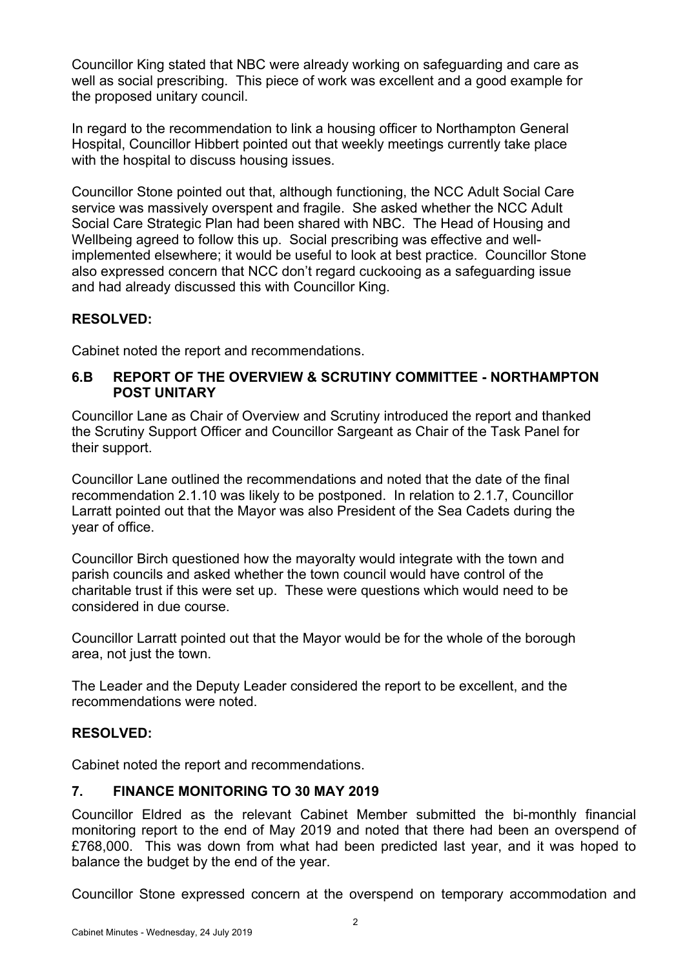Councillor King stated that NBC were already working on safeguarding and care as well as social prescribing. This piece of work was excellent and a good example for the proposed unitary council.

In regard to the recommendation to link a housing officer to Northampton General Hospital, Councillor Hibbert pointed out that weekly meetings currently take place with the hospital to discuss housing issues.

Councillor Stone pointed out that, although functioning, the NCC Adult Social Care service was massively overspent and fragile. She asked whether the NCC Adult Social Care Strategic Plan had been shared with NBC. The Head of Housing and Wellbeing agreed to follow this up. Social prescribing was effective and wellimplemented elsewhere; it would be useful to look at best practice. Councillor Stone also expressed concern that NCC don't regard cuckooing as a safeguarding issue and had already discussed this with Councillor King.

# **RESOLVED:**

Cabinet noted the report and recommendations.

### **6.B REPORT OF THE OVERVIEW & SCRUTINY COMMITTEE - NORTHAMPTON POST UNITARY**

Councillor Lane as Chair of Overview and Scrutiny introduced the report and thanked the Scrutiny Support Officer and Councillor Sargeant as Chair of the Task Panel for their support.

Councillor Lane outlined the recommendations and noted that the date of the final recommendation 2.1.10 was likely to be postponed. In relation to 2.1.7, Councillor Larratt pointed out that the Mayor was also President of the Sea Cadets during the year of office.

Councillor Birch questioned how the mayoralty would integrate with the town and parish councils and asked whether the town council would have control of the charitable trust if this were set up. These were questions which would need to be considered in due course.

Councillor Larratt pointed out that the Mayor would be for the whole of the borough area, not just the town.

The Leader and the Deputy Leader considered the report to be excellent, and the recommendations were noted.

# **RESOLVED:**

Cabinet noted the report and recommendations.

### **7. FINANCE MONITORING TO 30 MAY 2019**

Councillor Eldred as the relevant Cabinet Member submitted the bi-monthly financial monitoring report to the end of May 2019 and noted that there had been an overspend of £768,000. This was down from what had been predicted last year, and it was hoped to balance the budget by the end of the year.

Councillor Stone expressed concern at the overspend on temporary accommodation and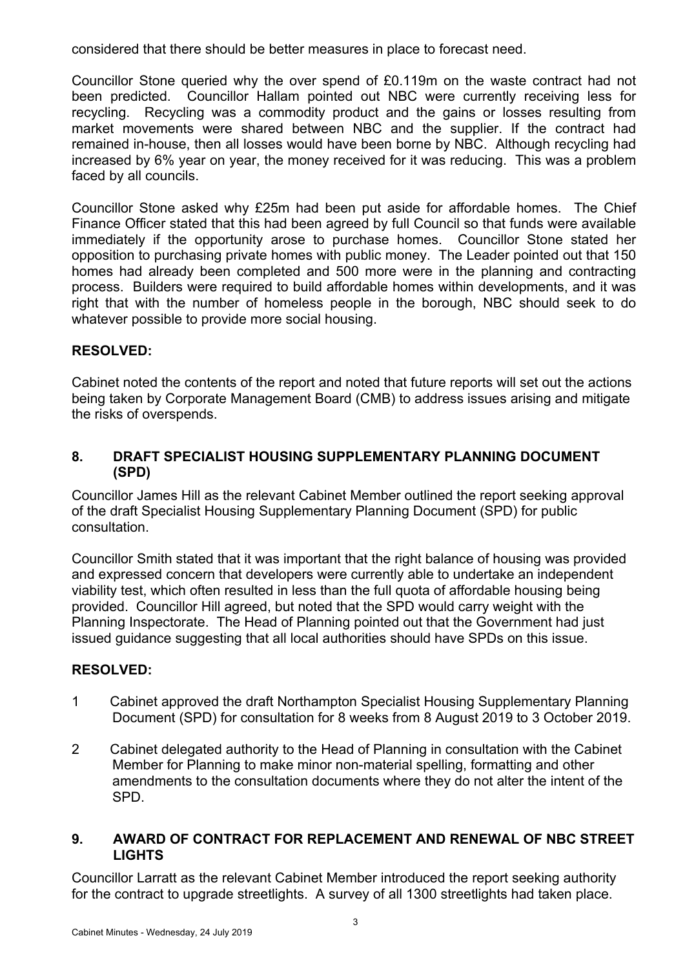considered that there should be better measures in place to forecast need.

Councillor Stone queried why the over spend of £0.119m on the waste contract had not been predicted. Councillor Hallam pointed out NBC were currently receiving less for recycling. Recycling was a commodity product and the gains or losses resulting from market movements were shared between NBC and the supplier. If the contract had remained in-house, then all losses would have been borne by NBC. Although recycling had increased by 6% year on year, the money received for it was reducing. This was a problem faced by all councils.

Councillor Stone asked why £25m had been put aside for affordable homes. The Chief Finance Officer stated that this had been agreed by full Council so that funds were available immediately if the opportunity arose to purchase homes. Councillor Stone stated her opposition to purchasing private homes with public money. The Leader pointed out that 150 homes had already been completed and 500 more were in the planning and contracting process. Builders were required to build affordable homes within developments, and it was right that with the number of homeless people in the borough, NBC should seek to do whatever possible to provide more social housing.

# **RESOLVED:**

Cabinet noted the contents of the report and noted that future reports will set out the actions being taken by Corporate Management Board (CMB) to address issues arising and mitigate the risks of overspends.

### **8. DRAFT SPECIALIST HOUSING SUPPLEMENTARY PLANNING DOCUMENT (SPD)**

Councillor James Hill as the relevant Cabinet Member outlined the report seeking approval of the draft Specialist Housing Supplementary Planning Document (SPD) for public consultation.

Councillor Smith stated that it was important that the right balance of housing was provided and expressed concern that developers were currently able to undertake an independent viability test, which often resulted in less than the full quota of affordable housing being provided. Councillor Hill agreed, but noted that the SPD would carry weight with the Planning Inspectorate. The Head of Planning pointed out that the Government had just issued guidance suggesting that all local authorities should have SPDs on this issue.

# **RESOLVED:**

- 1 Cabinet approved the draft Northampton Specialist Housing Supplementary Planning Document (SPD) for consultation for 8 weeks from 8 August 2019 to 3 October 2019.
- 2 Cabinet delegated authority to the Head of Planning in consultation with the Cabinet Member for Planning to make minor non-material spelling, formatting and other amendments to the consultation documents where they do not alter the intent of the SPD.

## **9. AWARD OF CONTRACT FOR REPLACEMENT AND RENEWAL OF NBC STREET LIGHTS**

Councillor Larratt as the relevant Cabinet Member introduced the report seeking authority for the contract to upgrade streetlights. A survey of all 1300 streetlights had taken place.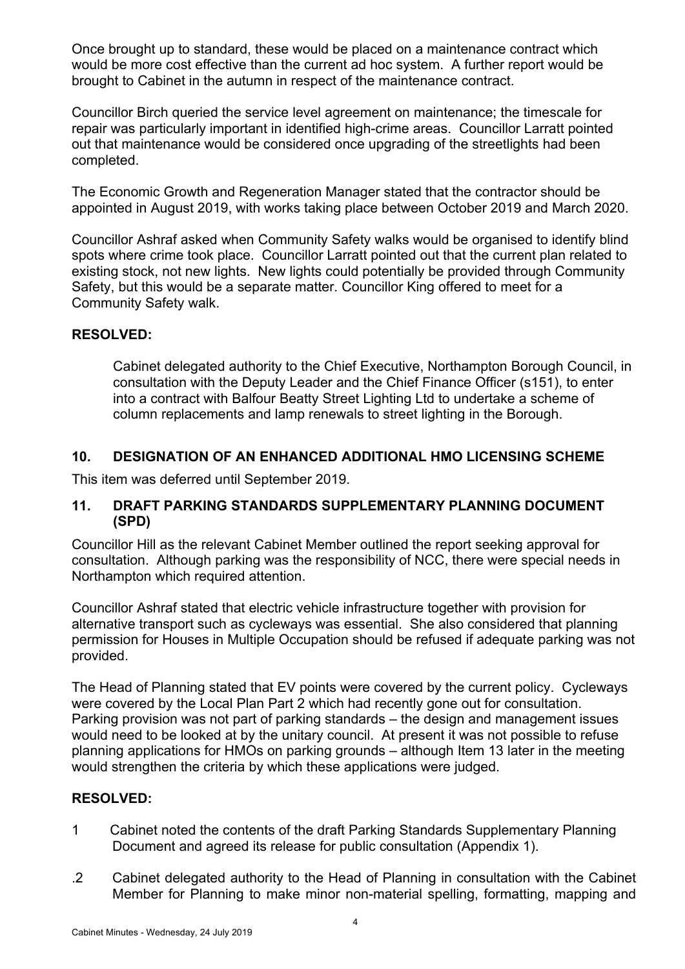Once brought up to standard, these would be placed on a maintenance contract which would be more cost effective than the current ad hoc system. A further report would be brought to Cabinet in the autumn in respect of the maintenance contract.

Councillor Birch queried the service level agreement on maintenance; the timescale for repair was particularly important in identified high-crime areas. Councillor Larratt pointed out that maintenance would be considered once upgrading of the streetlights had been completed.

The Economic Growth and Regeneration Manager stated that the contractor should be appointed in August 2019, with works taking place between October 2019 and March 2020.

Councillor Ashraf asked when Community Safety walks would be organised to identify blind spots where crime took place. Councillor Larratt pointed out that the current plan related to existing stock, not new lights. New lights could potentially be provided through Community Safety, but this would be a separate matter. Councillor King offered to meet for a Community Safety walk.

## **RESOLVED:**

Cabinet delegated authority to the Chief Executive, Northampton Borough Council, in consultation with the Deputy Leader and the Chief Finance Officer (s151), to enter into a contract with Balfour Beatty Street Lighting Ltd to undertake a scheme of column replacements and lamp renewals to street lighting in the Borough.

## **10. DESIGNATION OF AN ENHANCED ADDITIONAL HMO LICENSING SCHEME**

This item was deferred until September 2019.

### **11. DRAFT PARKING STANDARDS SUPPLEMENTARY PLANNING DOCUMENT (SPD)**

Councillor Hill as the relevant Cabinet Member outlined the report seeking approval for consultation. Although parking was the responsibility of NCC, there were special needs in Northampton which required attention.

Councillor Ashraf stated that electric vehicle infrastructure together with provision for alternative transport such as cycleways was essential. She also considered that planning permission for Houses in Multiple Occupation should be refused if adequate parking was not provided.

The Head of Planning stated that EV points were covered by the current policy. Cycleways were covered by the Local Plan Part 2 which had recently gone out for consultation. Parking provision was not part of parking standards – the design and management issues would need to be looked at by the unitary council. At present it was not possible to refuse planning applications for HMOs on parking grounds – although Item 13 later in the meeting would strengthen the criteria by which these applications were judged.

### **RESOLVED:**

- 1 Cabinet noted the contents of the draft Parking Standards Supplementary Planning Document and agreed its release for public consultation (Appendix 1).
- .2 Cabinet delegated authority to the Head of Planning in consultation with the Cabinet Member for Planning to make minor non-material spelling, formatting, mapping and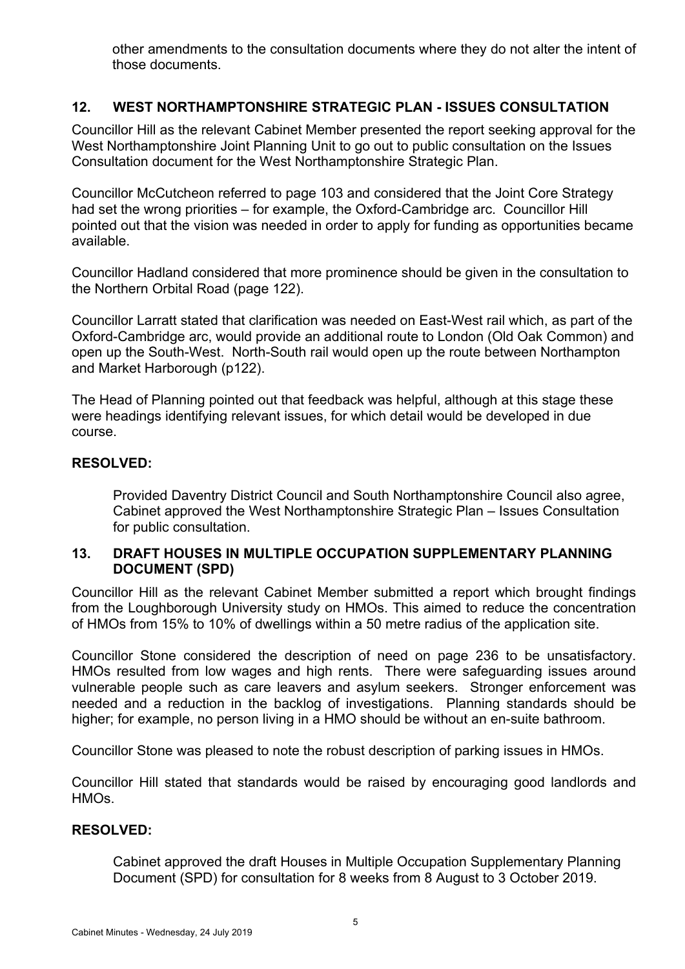other amendments to the consultation documents where they do not alter the intent of those documents.

# **12. WEST NORTHAMPTONSHIRE STRATEGIC PLAN - ISSUES CONSULTATION**

Councillor Hill as the relevant Cabinet Member presented the report seeking approval for the West Northamptonshire Joint Planning Unit to go out to public consultation on the Issues Consultation document for the West Northamptonshire Strategic Plan.

Councillor McCutcheon referred to page 103 and considered that the Joint Core Strategy had set the wrong priorities – for example, the Oxford-Cambridge arc. Councillor Hill pointed out that the vision was needed in order to apply for funding as opportunities became available.

Councillor Hadland considered that more prominence should be given in the consultation to the Northern Orbital Road (page 122).

Councillor Larratt stated that clarification was needed on East-West rail which, as part of the Oxford-Cambridge arc, would provide an additional route to London (Old Oak Common) and open up the South-West. North-South rail would open up the route between Northampton and Market Harborough (p122).

The Head of Planning pointed out that feedback was helpful, although at this stage these were headings identifying relevant issues, for which detail would be developed in due course.

### **RESOLVED:**

Provided Daventry District Council and South Northamptonshire Council also agree, Cabinet approved the West Northamptonshire Strategic Plan – Issues Consultation for public consultation.

## **13. DRAFT HOUSES IN MULTIPLE OCCUPATION SUPPLEMENTARY PLANNING DOCUMENT (SPD)**

Councillor Hill as the relevant Cabinet Member submitted a report which brought findings from the Loughborough University study on HMOs. This aimed to reduce the concentration of HMOs from 15% to 10% of dwellings within a 50 metre radius of the application site.

Councillor Stone considered the description of need on page 236 to be unsatisfactory. HMOs resulted from low wages and high rents. There were safeguarding issues around vulnerable people such as care leavers and asylum seekers. Stronger enforcement was needed and a reduction in the backlog of investigations. Planning standards should be higher; for example, no person living in a HMO should be without an en-suite bathroom.

Councillor Stone was pleased to note the robust description of parking issues in HMOs.

Councillor Hill stated that standards would be raised by encouraging good landlords and HMOs.

### **RESOLVED:**

Cabinet approved the draft Houses in Multiple Occupation Supplementary Planning Document (SPD) for consultation for 8 weeks from 8 August to 3 October 2019.